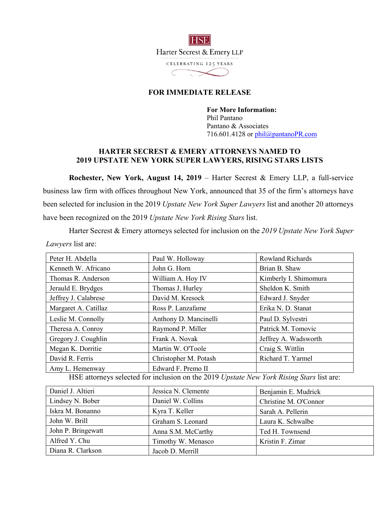

## **FOR IMMEDIATE RELEASE**

**For More Information:**  Phil Pantano Pantano & Associates 716.601.4128 or phil@pantanoPR.com

## **HARTER SECREST & EMERY ATTORNEYS NAMED TO 2019 UPSTATE NEW YORK SUPER LAWYERS, RISING STARS LISTS**

**Rochester, New York, August 14, 2019** – Harter Secrest & Emery LLP, a full-service business law firm with offices throughout New York, announced that 35 of the firm's attorneys have been selected for inclusion in the 2019 *Upstate New York Super Lawyers* list and another 20 attorneys have been recognized on the 2019 *Upstate New York Rising Stars* list.

Harter Secrest & Emery attorneys selected for inclusion on the *2019 Upstate New York Super Lawyers* list are:

| Peter H. Abdella                                                                         | Paul W. Holloway      | <b>Rowland Richards</b> |  |
|------------------------------------------------------------------------------------------|-----------------------|-------------------------|--|
| Kenneth W. Africano                                                                      | John G. Horn          | Brian B. Shaw           |  |
| Thomas R. Anderson                                                                       | William A. Hoy IV     | Kimberly I. Shimomura   |  |
| Jerauld E. Brydges                                                                       | Thomas J. Hurley      | Sheldon K. Smith        |  |
| Jeffrey J. Calabrese                                                                     | David M. Kresock      | Edward J. Snyder        |  |
| Margaret A. Catillaz                                                                     | Ross P. Lanzafame     | Erika N. D. Stanat      |  |
| Leslie M. Connolly                                                                       | Anthony D. Mancinelli | Paul D. Sylvestri       |  |
| Theresa A. Conroy                                                                        | Raymond P. Miller     | Patrick M. Tomovic      |  |
| Gregory J. Coughlin                                                                      | Frank A. Novak        | Jeffrey A. Wadsworth    |  |
| Megan K. Dorritie                                                                        | Martin W. O'Toole     | Craig S. Wittlin        |  |
| David R. Ferris                                                                          | Christopher M. Potash | Richard T. Yarmel       |  |
| Amy L. Hemenway                                                                          | Edward F. Premo II    |                         |  |
| HSE attorneys selected for inclusion on the 2019 Upstate New York Rising Stars list are: |                       |                         |  |

| Daniel J. Altieri  | Jessica N. Clemente | Benjamin E. Mudrick   |
|--------------------|---------------------|-----------------------|
| Lindsey N. Bober   | Daniel W. Collins   | Christine M. O'Connor |
| Iskra M. Bonanno   | Kyra T. Keller      | Sarah A. Pellerin     |
| John W. Brill      | Graham S. Leonard   | Laura K. Schwalbe     |
| John P. Bringewatt | Anna S.M. McCarthy  | Ted H. Townsend       |
| Alfred Y. Chu      | Timothy W. Menasco  | Kristin F. Zimar      |
| Diana R. Clarkson  | Jacob D. Merrill    |                       |